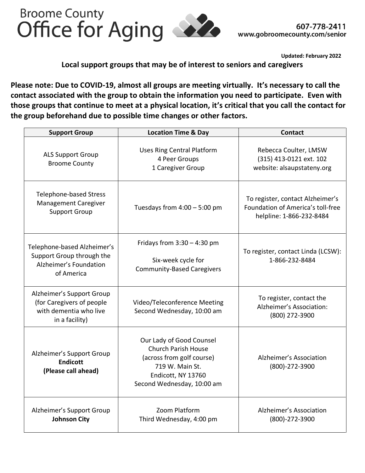

**Updated: February 2022**

**Local support groups that may be of interest to seniors and caregivers**

**Please note: Due to COVID-19, almost all groups are meeting virtually. It's necessary to call the contact associated with the group to obtain the information you need to participate. Even with those groups that continue to meet at a physical location, it's critical that you call the contact for the group beforehand due to possible time changes or other factors.** 

| <b>Support Group</b>                                                                               | <b>Location Time &amp; Day</b>                                                                                                                             | <b>Contact</b>                                                                                    |
|----------------------------------------------------------------------------------------------------|------------------------------------------------------------------------------------------------------------------------------------------------------------|---------------------------------------------------------------------------------------------------|
| <b>ALS Support Group</b><br><b>Broome County</b>                                                   | <b>Uses Ring Central Platform</b><br>4 Peer Groups<br>1 Caregiver Group                                                                                    | Rebecca Coulter, LMSW<br>(315) 413-0121 ext. 102<br>website: alsaupstateny.org                    |
| <b>Telephone-based Stress</b><br><b>Management Caregiver</b><br><b>Support Group</b>               | Tuesdays from $4:00 - 5:00$ pm                                                                                                                             | To register, contact Alzheimer's<br>Foundation of America's toll-free<br>helpline: 1-866-232-8484 |
| Telephone-based Alzheimer's<br>Support Group through the<br>Alzheimer's Foundation<br>of America   | Fridays from $3:30 - 4:30$ pm<br>Six-week cycle for<br><b>Community-Based Caregivers</b>                                                                   | To register, contact Linda (LCSW):<br>1-866-232-8484                                              |
| Alzheimer's Support Group<br>(for Caregivers of people<br>with dementia who live<br>in a facility) | Video/Teleconference Meeting<br>Second Wednesday, 10:00 am                                                                                                 | To register, contact the<br>Alzheimer's Association:<br>(800) 272-3900                            |
| Alzheimer's Support Group<br><b>Endicott</b><br>(Please call ahead)                                | Our Lady of Good Counsel<br><b>Church Parish House</b><br>(across from golf course)<br>719 W. Main St.<br>Endicott, NY 13760<br>Second Wednesday, 10:00 am | Alzheimer's Association<br>(800)-272-3900                                                         |
| Alzheimer's Support Group<br><b>Johnson City</b>                                                   | Zoom Platform<br>Third Wednesday, 4:00 pm                                                                                                                  | Alzheimer's Association<br>(800)-272-3900                                                         |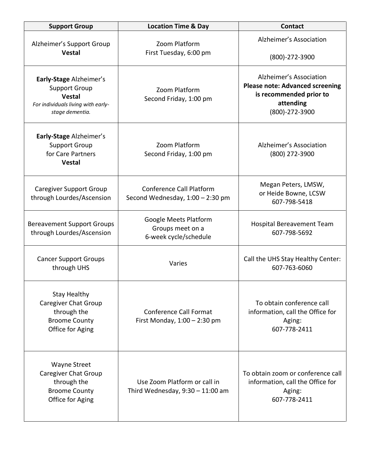| <b>Support Group</b>                                                                                                      | <b>Location Time &amp; Day</b>                                      | <b>Contact</b>                                                                                                              |
|---------------------------------------------------------------------------------------------------------------------------|---------------------------------------------------------------------|-----------------------------------------------------------------------------------------------------------------------------|
| Alzheimer's Support Group<br><b>Vestal</b>                                                                                | Zoom Platform<br>First Tuesday, 6:00 pm                             | Alzheimer's Association<br>$(800) - 272 - 3900$                                                                             |
| Early-Stage Alzheimer's<br><b>Support Group</b><br><b>Vestal</b><br>For individuals living with early-<br>stage dementia. | Zoom Platform<br>Second Friday, 1:00 pm                             | Alzheimer's Association<br><b>Please note: Advanced screening</b><br>is recommended prior to<br>attending<br>(800)-272-3900 |
| Early-Stage Alzheimer's<br><b>Support Group</b><br>for Care Partners<br><b>Vestal</b>                                     | Zoom Platform<br>Second Friday, 1:00 pm                             | Alzheimer's Association<br>(800) 272-3900                                                                                   |
| <b>Caregiver Support Group</b><br>through Lourdes/Ascension                                                               | <b>Conference Call Platform</b><br>Second Wednesday, 1:00 - 2:30 pm | Megan Peters, LMSW,<br>or Heide Bowne, LCSW<br>607-798-5418                                                                 |
| <b>Bereavement Support Groups</b><br>through Lourdes/Ascension                                                            | Google Meets Platform<br>Groups meet on a<br>6-week cycle/schedule  | <b>Hospital Bereavement Team</b><br>607-798-5692                                                                            |
| <b>Cancer Support Groups</b><br>through UHS                                                                               | Varies                                                              | Call the UHS Stay Healthy Center:<br>607-763-6060                                                                           |
| <b>Stay Healthy</b><br><b>Caregiver Chat Group</b><br>through the<br><b>Broome County</b><br>Office for Aging             | <b>Conference Call Format</b><br>First Monday, $1:00 - 2:30$ pm     | To obtain conference call<br>information, call the Office for<br>Aging:<br>607-778-2411                                     |
| <b>Wayne Street</b><br><b>Caregiver Chat Group</b><br>through the<br><b>Broome County</b><br>Office for Aging             | Use Zoom Platform or call in<br>Third Wednesday, $9:30 - 11:00$ am  | To obtain zoom or conference call<br>information, call the Office for<br>Aging:<br>607-778-2411                             |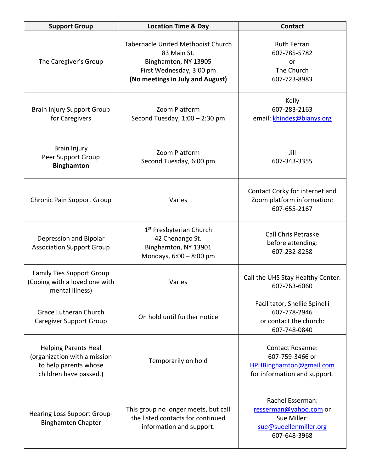| <b>Support Group</b>                                                                                           | <b>Location Time &amp; Day</b>                                                                                                            | <b>Contact</b>                                                                                        |
|----------------------------------------------------------------------------------------------------------------|-------------------------------------------------------------------------------------------------------------------------------------------|-------------------------------------------------------------------------------------------------------|
| The Caregiver's Group                                                                                          | Tabernacle United Methodist Church<br>83 Main St.<br>Binghamton, NY 13905<br>First Wednesday, 3:00 pm<br>(No meetings in July and August) | <b>Ruth Ferrari</b><br>607-785-5782<br>or<br>The Church<br>607-723-8983                               |
| <b>Brain Injury Support Group</b><br>for Caregivers                                                            | Zoom Platform<br>Second Tuesday, $1:00 - 2:30$ pm                                                                                         | Kelly<br>607-283-2163<br>email: khindes@bianys.org                                                    |
| Brain Injury<br>Peer Support Group<br><b>Binghamton</b>                                                        | Zoom Platform<br>Second Tuesday, 6:00 pm                                                                                                  | Jill<br>607-343-3355                                                                                  |
| <b>Chronic Pain Support Group</b>                                                                              | Varies                                                                                                                                    | Contact Corky for internet and<br>Zoom platform information:<br>607-655-2167                          |
| Depression and Bipolar<br><b>Association Support Group</b>                                                     | 1 <sup>st</sup> Presbyterian Church<br>42 Chenango St.<br>Binghamton, NY 13901<br>Mondays, 6:00 - 8:00 pm                                 | <b>Call Chris Petraske</b><br>before attending:<br>607-232-8258                                       |
| <b>Family Ties Support Group</b><br>(Coping with a loved one with<br>mental illness)                           | Varies                                                                                                                                    | Call the UHS Stay Healthy Center:<br>607-763-6060                                                     |
| <b>Grace Lutheran Church</b><br><b>Caregiver Support Group</b>                                                 | On hold until further notice                                                                                                              | Facilitator, Shellie Spinelli<br>607-778-2946<br>or contact the church:<br>607-748-0840               |
| <b>Helping Parents Heal</b><br>(organization with a mission<br>to help parents whose<br>children have passed.) | Temporarily on hold                                                                                                                       | <b>Contact Rosanne:</b><br>607-759-3466 or<br>HPHBinghamton@gmail.com<br>for information and support. |
| <b>Hearing Loss Support Group-</b><br><b>Binghamton Chapter</b>                                                | This group no longer meets, but call<br>the listed contacts for continued<br>information and support.                                     | Rachel Esserman:<br>resserman@yahoo.com or<br>Sue Miller:<br>sue@sueellenmiller.org<br>607-648-3968   |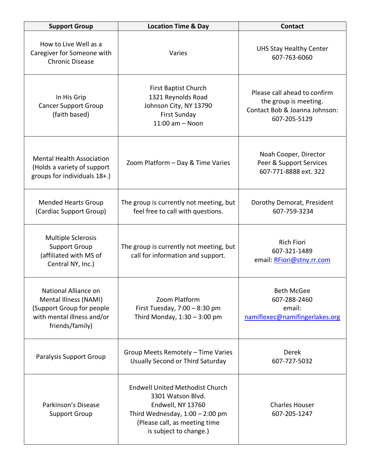| <b>Support Group</b>                                                                                                        | <b>Location Time &amp; Day</b>                                                                                                                                                   | <b>Contact</b>                                                                                         |
|-----------------------------------------------------------------------------------------------------------------------------|----------------------------------------------------------------------------------------------------------------------------------------------------------------------------------|--------------------------------------------------------------------------------------------------------|
| How to Live Well as a<br>Caregiver for Someone with<br><b>Chronic Disease</b>                                               | Varies                                                                                                                                                                           | <b>UHS Stay Healthy Center</b><br>607-763-6060                                                         |
| In His Grip<br><b>Cancer Support Group</b><br>(faith based)                                                                 | <b>First Baptist Church</b><br>1321 Reynolds Road<br>Johnson City, NY 13790<br><b>First Sunday</b><br>$11:00$ am $-$ Noon                                                        | Please call ahead to confirm<br>the group is meeting.<br>Contact Bob & Joanna Johnson:<br>607-205-5129 |
| <b>Mental Health Association</b><br>(Holds a variety of support<br>groups for individuals 18+.)                             | Zoom Platform - Day & Time Varies                                                                                                                                                | Noah Cooper, Director<br>Peer & Support Services<br>607-771-8888 ext. 322                              |
| <b>Mended Hearts Group</b><br>(Cardiac Support Group)                                                                       | The group is currently not meeting, but<br>feel free to call with questions.                                                                                                     | Dorothy Demorat, President<br>607-759-3234                                                             |
| <b>Multiple Sclerosis</b><br><b>Support Group</b><br>(affiliated with MS of<br>Central NY, Inc.)                            | The group is currently not meeting, but<br>call for information and support.                                                                                                     | <b>Rich Fiori</b><br>607-321-1489<br>email: RFiori@stny.rr.com                                         |
| National Alliance on<br>Mental Illness (NAMI)<br>(Support Group for people<br>with mental illness and/or<br>friends/family) | Zoom Platform<br>First Tuesday, $7:00 - 8:30$ pm<br>Third Monday, $1:30 - 3:00$ pm                                                                                               | <b>Beth McGee</b><br>607-288-2460<br>email:<br>namiflexec@namifingerlakes.org                          |
| Paralysis Support Group                                                                                                     | Group Meets Remotely - Time Varies<br>Usually Second or Third Saturday                                                                                                           | Derek<br>607-727-5032                                                                                  |
| Parkinson's Disease<br><b>Support Group</b>                                                                                 | <b>Endwell United Methodist Church</b><br>3301 Watson Blvd.<br>Endwell, NY 13760<br>Third Wednesday, $1:00 - 2:00$ pm<br>(Please call, as meeting time<br>is subject to change.) | <b>Charles Houser</b><br>607-205-1247                                                                  |